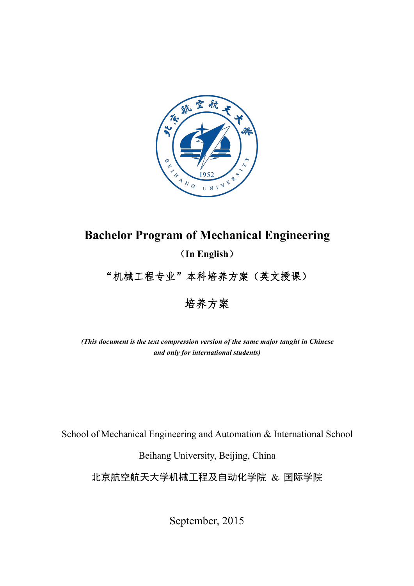

# **Bachelor Program of Mechanical Engineering**

(**In English**)

"机械工程专业"本科培养方案(英文授课)

培养方案

*(This document is the text compression version of the same major taught in Chinese and only for international students)*

School of Mechanical Engineering and Automation & International School

Beihang University, Beijing, China

北京航空航天大学机械工程及自动化学院 & 国际学院

September, 2015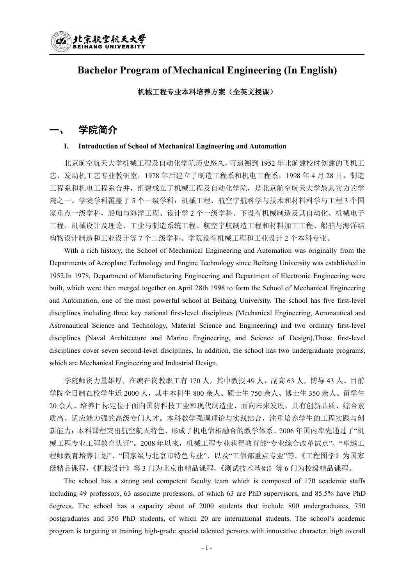

# **Bachelor Program of Mechanical Engineering (In English)**

#### 机械工程专业本科培养方案(全英文授课)

## 一、 学院简介

#### **I. Introduction of School of Mechanical Engineering and Automation**

北京航空航天大学机械工程及自动化学院历史悠久,可追溯到 1952 年北航建校时创建的飞机工 艺、发动机工艺专业教研室,1978 年后建立了制造工程系和机电工程系,1998 年 4 月 28 日, 制造 工程系和机电工程系合并,组建成立了机械工程及自动化学院,是北京航空航天大学最具实力的学 院之一。学院学科覆盖了 5 个一级学科:机械工程、航空宇航科学与技术和材料科学与工程 3 个国 家重点一级学科,船舶与海洋工程、设计学 2 个一级学科。下设有机械制造及其自动化、机械电子 工程、机械设计及理论、工业与制造系统工程、航空宇航制造工程和材料加工工程、船舶与海洋结 构物设计制造和工业设计等 7 个二级学科。学院设有机械工程和工业设计 2 个本科专业。

With a rich history, the School of Mechanical Engineering and Automation was originally from the Departments of Aeroplane Technology and Engine Technology since Beihang University was established in 1952.In 1978, Department of Manufacturing Engineering and Department of Electronic Engineering were built, which were then merged together on April 28th 1998 to form the School of Mechanical Engineering and Automation, one of the most powerful school at Beihang University. The school has five first-level disciplines including three key national first-level disciplines (Mechanical Engineering, Aeronautical and Astronautical Science and Technology, Material Science and Engineering) and two ordinary first-level disciplines (Naval Architecture and Marine Engineering, and Science of Design).Those first-level disciplines cover seven second-level disciplines, In addition, the school has two undergraduate programs, which are Mechanical Engineering and Industrial Design.

学院师资力量雄厚, 在编在岗教职工有 170 人, 其中教授 49 人, 副高 63 人, 博导 43 人。目前 学院全日制在校学生近 2000 人,其中本科生 800 余人、硕士生 750 余人、博士生 350 余人、留学生 20 余人。培养目标定位于面向国防科技工业和现代制造业、面向未来发展,具有创新品质、综合素 质高、适应能力强的高级专门人才。本科教学强调理论与实践结合,注重培养学生的工程实践与创 新能力;本科课程突出航空航天特色,形成了机电信相融合的教学体系。2006 年国内率先通过了"机 械工程专业工程教育认证"。2008 年以来,机械工程专业获得教育部"专业综合改革试点"、"卓越工 程师教育培养计划"、"国家级与北京市特色专业"、以及"工信部重点专业"等。《工程图学》为国家 级精品课程,《机械设计》等 3 门为北京市精品课程,《测试技术基础》等 6 门为校级精品课程。

The school has a strong and competent faculty team which is composed of 170 academic staffs including 49 professors,63 associate professors, of which 63 are PhD supervisors, and 85.5% have PhD degrees. The school has a capacity about of 2000 students that include 800 undergraduates, 750 postgraduates and 350 PhD students, of which 20 are international students. The school's academic program is targeting at training high-grade special talented persons with innovative character, high overall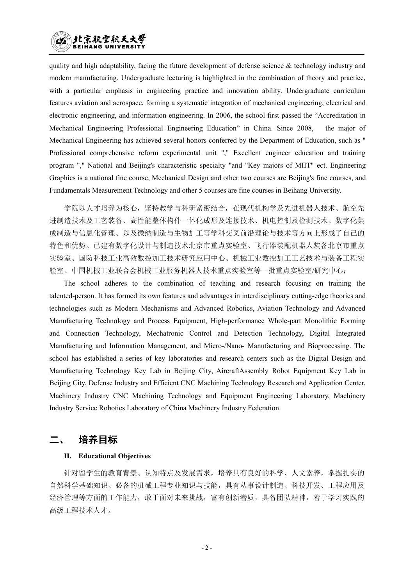## 北京航空航天大学 HANG IINIVERSI

quality and high adaptability, facing the future development of defense science  $\&$  technology industry and modern manufacturing. Undergraduate lecturing is highlighted in the combination of theory and practice, with a particular emphasis in engineering practice and innovation ability. Undergraduate curriculum features aviation and aerospace, forming a systematic integration of mechanical engineering, electrical and electronic engineering, and information engineering. In 2006, the school first passed the "Accreditation in Mechanical Engineering Professional Engineering Education" in China. Since 2008, the major of Mechanical Engineering has achieved several honors conferred by the Department of Education, such as " Professional comprehensive reform experimental unit "," Excellent engineer education and training program "," National and Beijing's characteristic specialty "and "Key majors of MIIT" ect. Engineering Graphics is a national fine course, Mechanical Design and other two courses are Beijing's fine courses, and Fundamentals Measurement Technology and other 5 courses are fine courses in Beihang University.

学院以人才培养为核心,坚持教学与科研紧密结合,在现代机构学及先进机器人技术、航空先 进制造技术及工艺装备、高性能整体构件一体化成形及连接技术、机电控制及检测技术、数字化集 成制造与信息化管理、以及微纳制造与生物加工等学科交叉前沿理论与技术等方向上形成了自己的 特色和优势。已建有数字化设计与制造技术北京市重点实验室、飞行器装配机器人装备北京市重点 实验室、国防科技工业高效数控加工技术研究应用中心、机械工业数控加工工艺技术与装备工程实 验室、中国机械工业联合会机械工业服务机器人技术重点实验室等一批重点实验室/研究中心;

The school adheres to the combination of teaching and research focusing on training the talented-person. It has formed its own features and advantages in interdisciplinary cutting-edge theories and technologies such as Modern Mechanisms and Advanced Robotics, Aviation Technology and Advanced Manufacturing Technology and Process Equipment, High-performance Whole-part Monolithic Forming and Connection Technology, Mechatronic Control and Detection Technology, Digital Integrated Manufacturing and Information Management, and Micro-/Nano- Manufacturing and Bioprocessing. The school has established a series of key laboratories and research centers such as the Digital Design and Manufacturing Technology Key Lab in Beijing City, AircraftAssembly Robot Equipment Key Lab in Beijing City, Defense Industry and Efficient CNC Machining Technology Research and Application Center, Machinery Industry CNC Machining Technology and Equipment Engineering Laboratory, Machinery Industry Service Robotics Laboratory of China Machinery Industry Federation.

# 培养目标

#### **II. Educational Objectives**

针对留学生的教育背景、认知特点及发展需求,培养具有良好的科学、人文素养,掌握扎实的 自然科学基础知识、必备的机械工程专业知识与技能,具有从事设计制造、科技开发、工程应用及 经济管理等方面的工作能力,敢于面对未来挑战,富有创新潜质,具备团队精神,善于学习实践的 高级工程技术人才。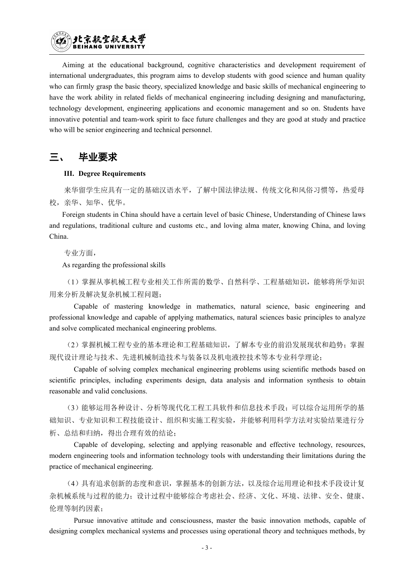

Aiming at the educational background, cognitive characteristics and development requirement of international undergraduates, this program aims to develop students with good science and human quality who can firmly grasp the basic theory, specialized knowledge and basic skills of mechanical engineering to have the work ability in related fields of mechanical engineering including designing and manufacturing, technology development, engineering applications and economic management and so on. Students have innovative potential and team-work spirit to face future challenges and they are good at study and practice who will be senior engineering and technical personnel.

# 三、 毕业要求

#### **III. Degree Requirements**

来华留学生应具有一定的基础汉语水平,了解中国法律法规、传统文化和风俗习惯等,热爱母 校,亲华、知华、优华。

Foreign students in China should have a certain level of basic Chinese, Understanding of Chinese laws and regulations, traditional culture and customs etc., and loving alma mater, knowing China, and loving China.

专业方面,

As regarding the professional skills

(1)掌握从事机械工程专业相关工作所需的数学、自然科学、工程基础知识,能够将所学知识 用来分析及解决复杂机械工程问题;

Capable of mastering knowledge in mathematics, natural science, basic engineering and professional knowledge and capable of applying mathematics, natural sciences basic principles to analyze and solve complicated mechanical engineering problems.

(2)掌握机械工程专业的基本理论和工程基础知识,了解本专业的前沿发展现状和趋势;掌握 现代设计理论与技术、先进机械制造技术与装备以及机电液控技术等本专业科学理论;

Capable of solving complex mechanical engineering problems using scientific methods based on scientific principles, including experiments design, data analysis and information synthesis to obtain reasonable and valid conclusions.

(3)能够运用各种设计、分析等现代化工程工具软件和信息技术手段;可以综合运用所学的基 础知识、专业知识和工程技能设计、组织和实施工程实验,并能够利用科学方法对实验结果进行分 析、总结和归纳,得出合理有效的结论;

Capable of developing, selecting and applying reasonable and effective technology, resources, modern engineering tools and information technology tools with understanding their limitations during the practice of mechanical engineering.

(4)具有追求创新的态度和意识,掌握基本的创新方法,以及综合运用理论和技术手段设计复 杂机械系统与过程的能力;设计过程中能够综合考虑社会、经济、文化、环境、法律、安全、健康、 伦理等制约因素;

Pursue innovative attitude and consciousness, master the basic innovation methods, capable of designing complex mechanical systems and processes using operational theory and techniques methods, by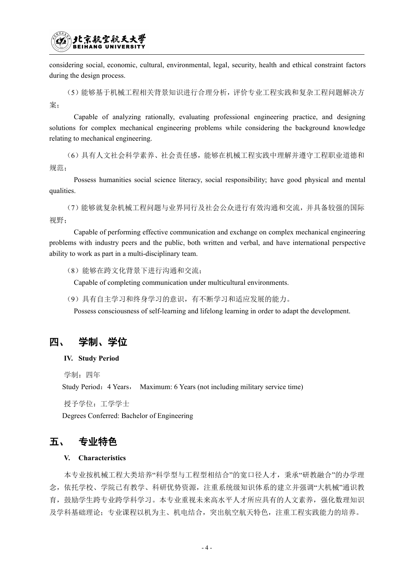

considering social, economic, cultural, environmental, legal, security, health and ethical constraint factors during the design process.

(5)能够基于机械工程相关背景知识进行合理分析,评价专业工程实践和复杂工程问题解决方 案;

Capable of analyzing rationally, evaluating professional engineering practice, and designing solutions for complex mechanical engineering problems while considering the background knowledge relating to mechanical engineering.

(6)具有人文社会科学素养、社会责任感,能够在机械工程实践中理解并遵守工程职业道德和 规范; 2008年10月11日 11月11日 11月11日 11月11日 11月11日 11月11日 11月11日 11月11日 11月11日 11月11日 11月11日 11月11日 11月11日 11月11日 11月

Possess humanities social science literacy, social responsibility; have good physical and mental qualities.

(7)能够就复杂机械工程问题与业界同行及社会公众进行有效沟通和交流,并具备较强的国际 视野;

Capable of performing effective communication and exchange on complex mechanical engineering problems with industry peers and the public, both written and verbal, and have international perspective ability to work as part in a multi-disciplinary team.

(8)能够在跨文化背景下进行沟通和交流;

Capable of completing communication under multicultural environments.

(9)具有自主学习和终身学习的意识,有不断学习和适应发展的能力。

Possess consciousness of self-learning and lifelong learning in order to adapt the development.

## 四、 学制、学位

#### **IV. Study Period**

学制: 四年

Study Period: 4 Years, Maximum: 6 Years (not including military service time)

授予学位:工学学士

Degrees Conferred: Bachelor of Engineering

# 五、 专业特色

#### **V. Characteristics**

本专业按机械工程大类培养"科学型与工程型相结合"的宽口径人才,秉承"研教融合"的办学理 念,依托学校、学院已有教学、科研优势资源,注重系统级知识体系的建立并强调"大机械"通识教 育,鼓励学生跨专业跨学科学习。本专业重视未来高水平人才所应具有的人文素养,强化数理知识 及学科基础理论;专业课程以机为主、机电结合,突出航空航天特色,注重工程实践能力的培养。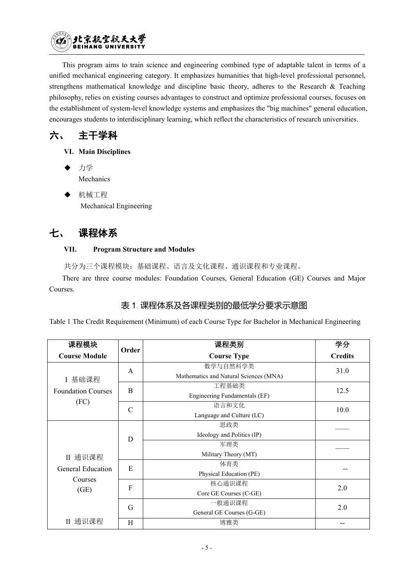

This program aims to train science and engineering combined type of adaptable talent in terms of a unified mechanical engineering category. It emphasizes humanities that high-level professional personnel, strengthens mathematical knowledge and discipline basic theory, adheres to the Research & Teaching philosophy, relies on existing courses advantages to construct and optimize professional courses, focuses on the establishment of system-level knowledge systems and emphasizes the "big machines" general education, encourages students to interdisciplinary learning, which reflect the characteristics ofresearch universities.

六、 主干学科

- **VI. Main Disciplines**
- ◆ 力学 マングランス アクセス しんしょう かんしょう かんしょう Mechanics
- 机械工程 Mechanical Engineering

# 七、 课程体系

### **VII. Program Structure and Modules**

共分为三个课程模块:基础课程、语言及文化课程、通识课程和专业课程。

There are three course modules: Foundation Courses, General Education (GE) Courses and Major Courses.

# 表 1 课程体系及各课程类别的最低学分要求示意图

Table 1 The Credit Requirement (Minimum) of each Course Type for Bachelor in Mechanical Engineering

| 课程模块                              | Order                     | 课程类别                                               | 学分             |
|-----------------------------------|---------------------------|----------------------------------------------------|----------------|
| <b>Course Module</b>              |                           | <b>Course Type</b>                                 | <b>Credits</b> |
| I 基础课程                            | $\mathbf{A}$              | 数学与自然科学类<br>Mathematics and Natural Sciences (MNA) | 31.0           |
| <b>Foundation Courses</b><br>(FC) | $\mathbf{B}$              | 工程基础类<br>Engineering Fundamentals (EF)             | 12.5           |
|                                   | $\mathcal{C}$             | 语言和文化<br>Language and Culture (LC)                 | 10.0           |
|                                   | D                         | 思政类<br>Ideology and Politics (IP)                  |                |
| II 通识课程                           |                           | 军理类<br>Military Theory (MT)                        |                |
| General Education                 | E                         | 体育类<br>Physical Education (PE)                     |                |
| Courses<br>(GE)                   | $\boldsymbol{\mathrm{F}}$ | 核心通识课程<br>Core GE Courses (C-GE)                   | 2.0            |
|                                   | G                         | 一般通识课程<br>General GE Courses (G-GE)                | 2.0            |
| II 通识课程                           | H                         | 博雅类                                                | --             |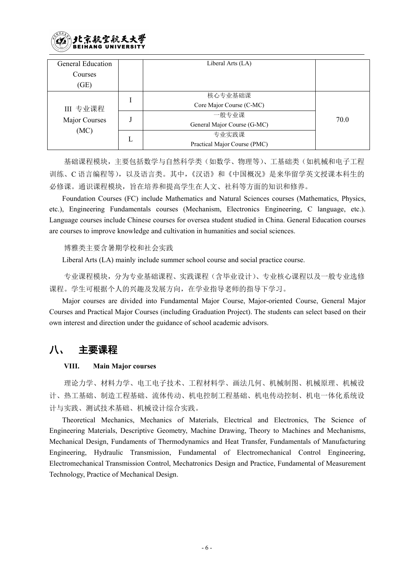

| General Education |   | Liberal Arts (LA)            |      |
|-------------------|---|------------------------------|------|
| Courses           |   |                              |      |
| (GE)              |   |                              |      |
|                   |   | 核心专业基础课                      |      |
| III 专业课程          |   | Core Major Course (C-MC)     |      |
|                   |   | 一般专业课                        | 70.0 |
| Major Courses     |   | General Major Course (G-MC)  |      |
| (MC)              |   | 专业实践课                        |      |
|                   | L | Practical Major Course (PMC) |      |

基础课程模块,主要包括数学与自然科学类(如数学、物理等)、工基础类(如机械和电子工程 训练、C 语言编程等),以及语言类。其中,《汉语》和《中国概况》是来华留学英文授课本科生的 必修课。通识课程模块,旨在培养和提高学生在人文、社科等方面的知识和修养。

Foundation Courses (FC) include Mathematics and Natural Sciences courses (Mathematics, Physics, etc.), Engineering Fundamentals courses (Mechanism, Electronics Engineering, C language, etc.). Language courses include Chinese courses for oversea student studied in China. General Education courses are courses to improve knowledge and cultivation in humanities and social sciences.

博雅类主要含暑期学校和社会实践

Liberal Arts (LA) mainly include summer school course and social practice course.

专业课程模块,分为专业基础课程、实践课程(含毕业设计)、专业核心课程以及一般专业选修 课程。学生可根据个人的兴趣及发展方向,在学业指导老师的指导下学习。

Major courses are divided into Fundamental Major Course, Major-oriented Course, General Major Courses and Practical Major Courses (including Graduation Project). The students can select based on their own interest and direction under the guidance of school academic advisors.

# 八、 主要课程

#### **VIII. Main Major courses**

理论力学、材料力学、电工电子技术、工程材料学、画法几何、机械制图、机械原理、机械设 计、热工基础、制造工程基础、流体传动、机电控制工程基础、机电传动控制、机电一体化系统设 计与实践、测试技术基础、机械设计综合实践。

Theoretical Mechanics, Mechanics of Materials, Electrical and Electronics, The Science of Engineering Materials, Descriptive Geometry, Machine Drawing, Theory to Machines and Mechanisms, Mechanical Design, Fundaments of Thermodynamics and Heat Transfer, Fundamentals of Manufacturing Engineering, Hydraulic Transmission, Fundamental of Electromechanical Control Engineering, Electromechanical Transmission Control, Mechatronics Design and Practice, Fundamental of Measurement Technology, Practice of Mechanical Design.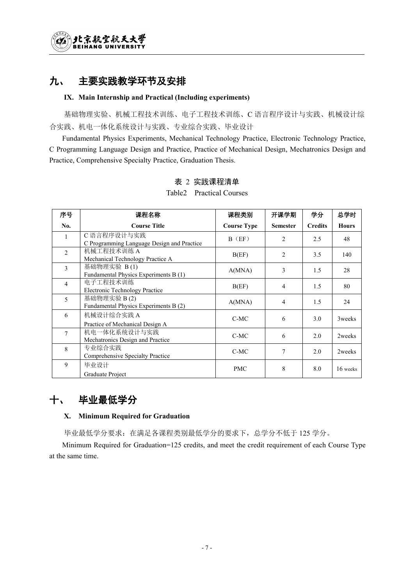# 九、 主要实践教学环节及安排

#### **IX. Main Internship and Practical (Including experiments)**

基础物理实验、机械工程技术训练、电子工程技术训练、C 语言程序设计与实践、机械设计综 合实践、机电一体化系统设计与实践、专业综合实践、毕业设计

Fundamental Physics Experiments, Mechanical Technology Practice, Electronic Technology Practice, C Programming Language Design and Practice, Practice of Mechanical Design, Mechatronics Design and Practice, Comprehensive Specialty Practice, Graduation Thesis.

| 序号             | 课程名称                                                      | 课程类别               | 开课学期            | 学分             | 总学时          |
|----------------|-----------------------------------------------------------|--------------------|-----------------|----------------|--------------|
| No.            | <b>Course Title</b>                                       | <b>Course Type</b> | <b>Semester</b> | <b>Credits</b> | <b>Hours</b> |
| $\mathbf{1}$   | C 语言程序设计与实践<br>C Programming Language Design and Practice | $B$ (EF)           | $\overline{2}$  | 2.5            | 48           |
| $\overline{2}$ | 机械工程技术训练 A<br>Mechanical Technology Practice A            | B(EF)              | 2               | 3.5            | 140          |
| $\mathfrak{Z}$ | 基础物理实验 B(1)<br>Fundamental Physics Experiments B (1)      | A(MNA)             | $\overline{3}$  | 1.5            | 28           |
| $\overline{4}$ | 电子工程技术训练<br><b>Electronic Technology Practice</b>         | B(EF)              | 4               | 1.5            | 80           |
| 5 <sup>5</sup> | 基础物理实验 B(2)<br>Fundamental Physics Experiments B (2)      | A(MNA)             | $\overline{4}$  | 1.5            | 24           |
| 6              | 机械设计综合实践 A<br>Practice of Mechanical Design A             | $C-MC$             | 6               | 3.0            | 3weeks       |
| $\tau$         | 机电一体化系统设计与实践<br>Mechatronics Design and Practice          | $C-MC$             | 6               | 2.0            | 2weeks       |
| 8              | 专业综合实践<br>Comprehensive Specialty Practice                | $C-MC$             | 7               | 2.0            | 2weeks       |
| 9              | 毕业设计<br>Graduate Project                                  | <b>PMC</b>         | 8               | 8.0            | 16 weeks     |

## 表 2 实践课程清单

Table2 Practical Courses

# 十、 毕业最低学分

### **X. Minimum Required for Graduation**

毕业最低学分要求:在满足各课程类别最低学分的要求下,总学分不低于 125 学分。

Minimum Required for Graduation=125 credits, and meet the credit requirement of each Course Type at the same time.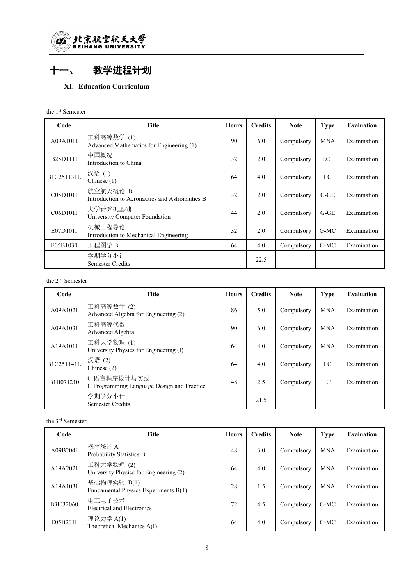

# 十一、 教学进程计划

### **XI. Education Curriculum**

| Code       | <b>Title</b>                                               | <b>Hours</b> | <b>Credits</b> | <b>Note</b> | <b>Type</b> | <b>Evaluation</b> |
|------------|------------------------------------------------------------|--------------|----------------|-------------|-------------|-------------------|
| A09A101I   | 工科高等数学(1)<br>Advanced Mathematics for Engineering (1)      | 90           | 6.0            | Compulsory  | <b>MNA</b>  | Examination       |
| B25D111I   | 中国概况<br>Introduction to China                              | 32           | 2.0            | Compulsory  | LC          | Examination       |
| B1C251131L | 汉语(1)<br>Chinese $(1)$                                     | 64           | 4.0            | Compulsory  | LC          | Examination       |
| C05D101I   | 航空航天概论 B<br>Introduction to Aeronautics and Astronautics B | 32           | 2.0            | Compulsory  | $C-GE$      | Examination       |
| C06D101I   | 大学计算机基础<br>University Computer Foundation                  | 44           | 2.0            | Compulsory  | $G-GE$      | Examination       |
| E07D101I   | 机械工程导论<br>Introduction to Mechanical Engineering           | 32           | 2.0            | Compulsory  | G-MC        | Examination       |
| E05B1030   | 工程图学B                                                      | 64           | 4.0            | Compulsory  | $C-MC$      | Examination       |
|            | 学期学分小计<br><b>Semester Credits</b>                          |              | 22.5           |             |             |                   |

#### the 2 nd Semester

| Code       | <b>Title</b>                                              | <b>Hours</b> | <b>Credits</b> | <b>Note</b> | <b>Type</b> | <b>Evaluation</b> |
|------------|-----------------------------------------------------------|--------------|----------------|-------------|-------------|-------------------|
| A09A102I   | 工科高等数学(2)<br>Advanced Algebra for Engineering (2)         | 86           | 5.0            | Compulsory  | <b>MNA</b>  | Examination       |
| A09A103I   | 工科高等代数<br>Advanced Algebra                                | 90           | 6.0            | Compulsory  | <b>MNA</b>  | Examination       |
| A19A101I   | 工科大学物理(1)<br>University Physics for Engineering (I)       | 64           | 4.0            | Compulsory  | <b>MNA</b>  | Examination       |
| B1C251141L | 汉语(2)<br>Chinese $(2)$                                    | 64           | 4.0            | Compulsory  | LC          | Examination       |
| B1B071210  | C 语言程序设计与实践<br>C Programming Language Design and Practice | 48           | 2.5            | Compulsory  | EF          | Examination       |
|            | 学期学分小计<br><b>Semester Credits</b>                         |              | 21.5           |             |             |                   |

#### the 3 rd Semester

| Code      | <b>Title</b>                                        | <b>Hours</b> | <b>Credits</b> | <b>Note</b> | <b>Type</b> | <b>Evaluation</b> |
|-----------|-----------------------------------------------------|--------------|----------------|-------------|-------------|-------------------|
| A09B204I  | 概率统计 A<br>Probability Statistics B                  | 48           | 3.0            | Compulsory  | <b>MNA</b>  | Examination       |
| A19A202I  | 工科大学物理(2)<br>University Physics for Engineering (2) | 64           | 4.0            | Compulsory  | <b>MNA</b>  | Examination       |
| A19A103I  | 基础物理实验 B(1)<br>Fundamental Physics Experiments B(1) | 28           | 1.5            | Compulsory  | <b>MNA</b>  | Examination       |
| B3I032060 | 电工电子技术<br><b>Electrical and Electronics</b>         | 72           | 4.5            | Compulsory  | $C-MC$      | Examination       |
| E05B201I  | 理论力学 A(1)<br>Theoretical Mechanics A(I)             | 64           | 4.0            | Compulsory  | C-MC        | Examination       |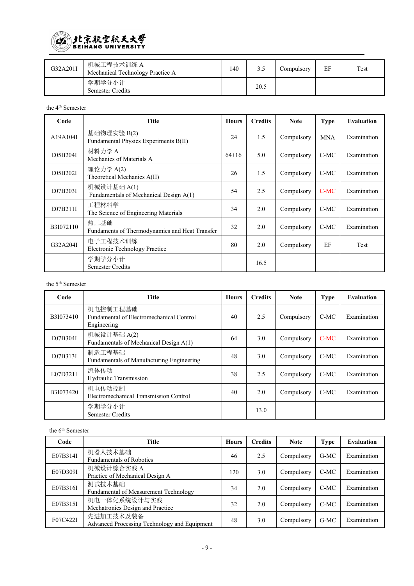

| G32A201I | 机械工程技术训练 A<br>Mechanical Technology Practice A | 140 |      | Compulsory | EF | Test |
|----------|------------------------------------------------|-----|------|------------|----|------|
|          | 学期学分小计<br><b>Semester Credits</b>              |     | 20.5 |            |    |      |

the 4 th Semester

| Code      | Title                                                  | <b>Hours</b> | <b>Credits</b> | <b>Note</b> | <b>Type</b> | <b>Evaluation</b> |
|-----------|--------------------------------------------------------|--------------|----------------|-------------|-------------|-------------------|
| A19A104I  | 基础物理实验 B(2)<br>Fundamental Physics Experiments B(II)   | 24           | 1.5            | Compulsory  | <b>MNA</b>  | Examination       |
| E05B204I  | 材料力学 A<br>Mechanics of Materials A                     | $64+16$      | 5.0            | Compulsory  | $C-MC$      | Examination       |
| E05B202I  | 理论力学 A(2)<br>Theoretical Mechanics A(II)               | 26           | 1.5            | Compulsory  | $C-MC$      | Examination       |
| E07B203I  | 机械设计基础 A(1)<br>Fundamentals of Mechanical Design A(1)  | 54           | 2.5            | Compulsory  | $C-MC$      | Examination       |
| E07B211I  | 工程材料学<br>The Science of Engineering Materials          | 34           | 2.0            | Compulsory  | C-MC        | Examination       |
| B3I072110 | 热工基础<br>Fundaments of Thermodynamics and Heat Transfer | 32           | 2.0            | Compulsory  | $C-MC$      | Examination       |
| G32A204I  | 电子工程技术训练<br><b>Electronic Technology Practice</b>      | 80           | 2.0            | Compulsory  | EF          | Test              |
|           | 学期学分小计<br>Semester Credits                             |              | 16.5           |             |             |                   |

#### the 5 th Semester

| Code      | <b>Title</b>                                                        | <b>Hours</b> | <b>Credits</b> | <b>Note</b> | <b>Type</b> | <b>Evaluation</b> |
|-----------|---------------------------------------------------------------------|--------------|----------------|-------------|-------------|-------------------|
| B3I073410 | 机电控制工程基础<br>Fundamental of Electromechanical Control<br>Engineering | 40           | 2.5            | Compulsory  | $C-MC$      | Examination       |
| E07B304I  | 机械设计基础 A(2)<br>Fundamentals of Mechanical Design A(1)               | 64           | 3.0            | Compulsory  | $C-MC$      | Examination       |
| E07B313I  | 制造工程基础<br>Fundamentals of Manufacturing Engineering                 | 48           | 3.0            | Compulsory  | $C-MC$      | Examination       |
| E07D321I  | 流体传动<br>Hydraulic Transmission                                      | 38           | 2.5            | Compulsory  | $C-MC$      | Examination       |
| B3I073420 | 机电传动控制<br>Electromechanical Transmission Control                    | 40           | 2.0            | Compulsory  | $C-MC$      | Examination       |
|           | 学期学分小计<br><b>Semester Credits</b>                                   |              | 13.0           |             |             |                   |

#### the 6 th Semester

| Code     | <b>Title</b>                                              | <b>Hours</b> | <b>Credits</b> | <b>Note</b> | <b>Type</b> | <b>Evaluation</b> |
|----------|-----------------------------------------------------------|--------------|----------------|-------------|-------------|-------------------|
| E07B314I | 机器人技术基础<br><b>Fundamentals of Robotics</b>                | 46           | 2.5            | Compulsory  | $G-MC$      | Examination       |
| E07D309I | 机械设计综合实践 A<br>Practice of Mechanical Design A             | 120          | 3.0            | Compulsory  | C-MC        | Examination       |
| E07B316I | 测试技术基础<br>Fundamental of Measurement Technology           | 34           | 2.0            | Compulsory  | C-MC        | Examination       |
| E07B315I | 机电一体化系统设计与实践<br>Mechatronics Design and Practice          | 32           | 2.0            | Compulsory  | C-MC        | Examination       |
| F07C422I | 先进加工技术及装备<br>Advanced Processing Technology and Equipment | 48           | 3.0            | Compulsory  | $G-MC$      | Examination       |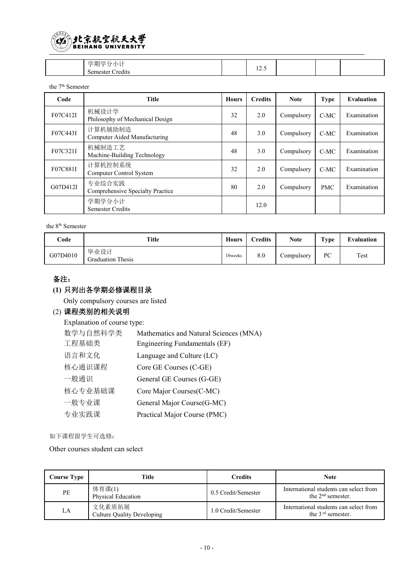

| 亭曲<br>$\rightarrow$<br>--<br>771<br>redits<br>۰e۰<br><br>,, | $\sim$ $\sim$<br>$1 - 3$ |  |  |
|-------------------------------------------------------------|--------------------------|--|--|

the 7 th Semester

| Code     | <b>Title</b>                               | <b>Hours</b> | <b>Credits</b> | <b>Note</b> | <b>Type</b> | <b>Evaluation</b> |
|----------|--------------------------------------------|--------------|----------------|-------------|-------------|-------------------|
| F07C412I | 机械设计学<br>Philosophy of Mechanical Design   | 32           | 2.0            | Compulsory  | $C-MC$      | Examination       |
| F07C443I | 计算机辅助制造<br>Computer Aided Manufacturing    | 48           | 3.0            | Compulsory  | $C-MC$      | Examination       |
| F07C321I | 机械制造工艺<br>Machine-Building Technology      | 48           | 3.0            | Compulsory  | $C-MC$      | Examination       |
| F07C881I | 计算机控制系统<br>Computer Control System         | 32           | 2.0            | Compulsory  | $C-MC$      | Examination       |
| G07D412I | 专业综合实践<br>Comprehensive Specialty Practice | 80           | 2.0            | Compulsory  | <b>PMC</b>  | Examination       |
|          | 学期学分小计<br><b>Semester Credits</b>          |              | 12.0           |             |             |                   |

the 8 th Semester

| Code     | <b>Title</b>                     | <b>Hours</b> | <b>Tredits</b> | <b>Note</b>             | Type | Evaluation |
|----------|----------------------------------|--------------|----------------|-------------------------|------|------------|
| G07D4010 | 毕业设计<br><b>Graduation Thesis</b> | 16weeks      | 8.0            | $\mathcal{L}$ ompulsory | PC   | Test       |

## 备注:

### **(1)** 只列出各学期必修课程目录

Only compulsory courses are listed

#### (2) 课程类别的相关说明

Explanation of course type:

| 数学与自然科学类 | Mathematics and Natural Sciences (MNA) |
|----------|----------------------------------------|
| 工程基础类    | Engineering Fundamentals (EF)          |
| 语言和文化    | Language and Culture (LC)              |
| 核心通识课程   | Core GE Courses (C-GE)                 |
| 一般通识     | General GE Courses (G-GE)              |
| 核心专业基础课  | Core Major Courses (C-MC)              |
| 一般专业课    | General Major Course (G-MC)            |
| 专业实践课    | Practical Major Course (PMC)           |
|          |                                        |

如下课程留学生可选修:

Other courses student can select

| Course Type | Title                                | Credits             | Note                                                          |
|-------------|--------------------------------------|---------------------|---------------------------------------------------------------|
| PE          | 体育课(1)<br>Physical Education         | 0.5 Credit/Semester | International students can select from<br>the $2nd$ semester. |
| LA          | 文化素质拓展<br>Culture Quality Developing | 1.0 Credit/Semester | International students can select from<br>the $3rd$ semester. |